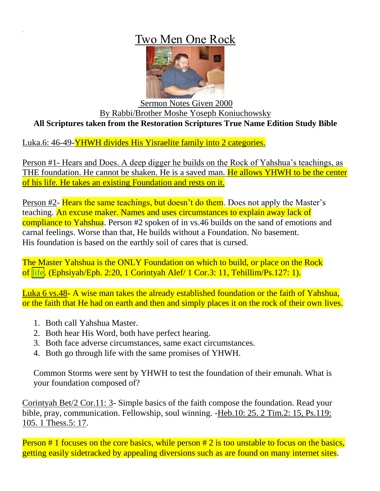## Two Men One Rock



## Sermon Notes Given 2000 By Rabbi/Brother Moshe Yoseph Koniuchowsky **All Scriptures taken from the Restoration Scriptures True Name Edition Study Bible**

Luka.6: 46-49-YHWH divides His Yisraelite family into 2 categories.

Person #1- Hears and Does. A deep digger he builds on the Rock of Yahshua's teachings, as THE foundation. He cannot be shaken. He is a saved man. He allows YHWH to be the center of his life. He takes an existing Foundation and rests on it.

Person #2- Hears the same teachings, but doesn't do them. Does not apply the Master's teaching. An excuse maker. Names and uses circumstances to explain away lack of compliance to Yahshua. Person #2 spoken of in vs.46 builds on the sand of emotions and carnal feelings. Worse than that, He builds without a Foundation. No basement. His foundation is based on the earthly soil of cares that is cursed.

The Master Yahshua is the ONLY Foundation on which to build, or place on the Rock of life. (Ephsiyah/Eph. 2:20, 1 Corintyah Alef/ 1 Cor.3: 11, Tehillim/Ps.127: 1).

Luka 6 vs.48- A wise man takes the already established foundation or the faith of Yahshua, or the faith that He had on earth and then and simply places it on the rock of their own lives.

- 1. Both call Yahshua Master.
- 2. Both hear His Word, both have perfect hearing.
- 3. Both face adverse circumstances, same exact circumstances.
- 4. Both go through life with the same promises of YHWH.

Common Storms were sent by YHWH to test the foundation of their emunah. What is your foundation composed of?

Corintyah Bet/2 Cor.11: 3- Simple basics of the faith compose the foundation. Read your bible, pray, communication. Fellowship, soul winning. -Heb.10: 25. 2 Tim.2: 15, Ps.119: 105. 1 Thess.5: 17.

Person  $# 1$  focuses on the core basics, while person  $# 2$  is too unstable to focus on the basics, getting easily sidetracked by appealing diversions such as are found on many internet sites.